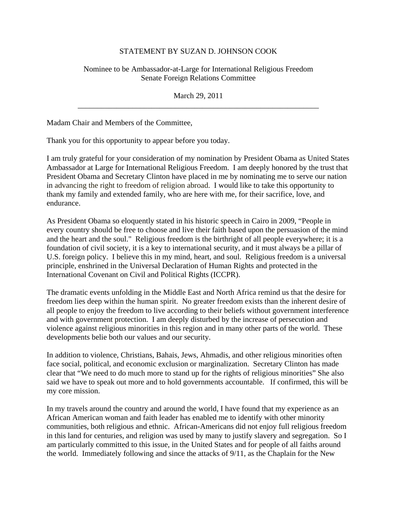## STATEMENT BY SUZAN D. JOHNSON COOK

Nominee to be Ambassador-at-Large for International Religious Freedom Senate Foreign Relations Committee

March 29, 2011 \_\_\_\_\_\_\_\_\_\_\_\_\_\_\_\_\_\_\_\_\_\_\_\_\_\_\_\_\_\_\_\_\_\_\_\_\_\_\_\_\_\_\_\_\_\_\_\_\_\_\_\_\_\_\_\_\_\_\_\_\_\_

Madam Chair and Members of the Committee,

Thank you for this opportunity to appear before you today.

I am truly grateful for your consideration of my nomination by President Obama as United States Ambassador at Large for International Religious Freedom. I am deeply honored by the trust that President Obama and Secretary Clinton have placed in me by nominating me to serve our nation in advancing the right to freedom of religion abroad. I would like to take this opportunity to thank my family and extended family, who are here with me, for their sacrifice, love, and endurance.

As President Obama so eloquently stated in his historic speech in Cairo in 2009, "People in every country should be free to choose and live their faith based upon the persuasion of the mind and the heart and the soul." Religious freedom is the birthright of all people everywhere; it is a foundation of civil society, it is a key to international security, and it must always be a pillar of U.S. foreign policy. I believe this in my mind, heart, and soul. Religious freedom is a universal principle, enshrined in the Universal Declaration of Human Rights and protected in the International Covenant on Civil and Political Rights (ICCPR).

The dramatic events unfolding in the Middle East and North Africa remind us that the desire for freedom lies deep within the human spirit. No greater freedom exists than the inherent desire of all people to enjoy the freedom to live according to their beliefs without government interference and with government protection. I am deeply disturbed by the increase of persecution and violence against religious minorities in this region and in many other parts of the world. These developments belie both our values and our security.

In addition to violence, Christians, Bahais, Jews, Ahmadis, and other religious minorities often face social, political, and economic exclusion or marginalization. Secretary Clinton has made clear that "We need to do much more to stand up for the rights of religious minorities" She also said we have to speak out more and to hold governments accountable. If confirmed, this will be my core mission.

In my travels around the country and around the world, I have found that my experience as an African American woman and faith leader has enabled me to identify with other minority communities, both religious and ethnic. African-Americans did not enjoy full religious freedom in this land for centuries, and religion was used by many to justify slavery and segregation. So I am particularly committed to this issue, in the United States and for people of all faiths around the world. Immediately following and since the attacks of 9/11, as the Chaplain for the New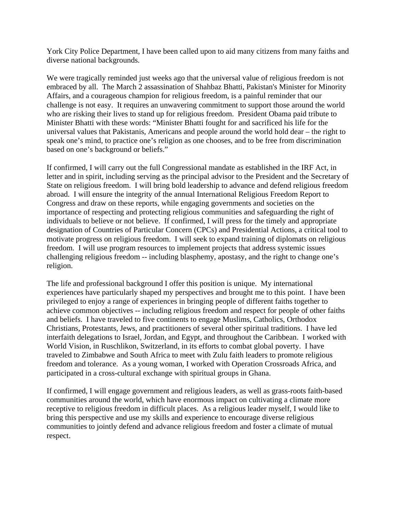York City Police Department, I have been called upon to aid many citizens from many faiths and diverse national backgrounds.

We were tragically reminded just weeks ago that the universal value of religious freedom is not embraced by all. The March 2 assassination of Shahbaz Bhatti, Pakistan's Minister for Minority Affairs, and a courageous champion for religious freedom, is a painful reminder that our challenge is not easy. It requires an unwavering commitment to support those around the world who are risking their lives to stand up for religious freedom. President Obama paid tribute to Minister Bhatti with these words: "Minister Bhatti fought for and sacrificed his life for the universal values that Pakistanis, Americans and people around the world hold dear – the right to speak one's mind, to practice one's religion as one chooses, and to be free from discrimination based on one's background or beliefs."

If confirmed, I will carry out the full Congressional mandate as established in the IRF Act, in letter and in spirit, including serving as the principal advisor to the President and the Secretary of State on religious freedom. I will bring bold leadership to advance and defend religious freedom abroad. I will ensure the integrity of the annual International Religious Freedom Report to Congress and draw on these reports, while engaging governments and societies on the importance of respecting and protecting religious communities and safeguarding the right of individuals to believe or not believe. If confirmed, I will press for the timely and appropriate designation of Countries of Particular Concern (CPCs) and Presidential Actions, a critical tool to motivate progress on religious freedom. I will seek to expand training of diplomats on religious freedom. I will use program resources to implement projects that address systemic issues challenging religious freedom -- including blasphemy, apostasy, and the right to change one's religion.

The life and professional background I offer this position is unique. My international experiences have particularly shaped my perspectives and brought me to this point. I have been privileged to enjoy a range of experiences in bringing people of different faiths together to achieve common objectives -- including religious freedom and respect for people of other faiths and beliefs. I have traveled to five continents to engage Muslims, Catholics, Orthodox Christians, Protestants, Jews, and practitioners of several other spiritual traditions. I have led interfaith delegations to Israel, Jordan, and Egypt, and throughout the Caribbean. I worked with World Vision, in Ruschlikon, Switzerland, in its efforts to combat global poverty. I have traveled to Zimbabwe and South Africa to meet with Zulu faith leaders to promote religious freedom and tolerance. As a young woman, I worked with Operation Crossroads Africa, and participated in a cross-cultural exchange with spiritual groups in Ghana.

If confirmed, I will engage government and religious leaders, as well as grass-roots faith-based communities around the world, which have enormous impact on cultivating a climate more receptive to religious freedom in difficult places. As a religious leader myself, I would like to bring this perspective and use my skills and experience to encourage diverse religious communities to jointly defend and advance religious freedom and foster a climate of mutual respect.